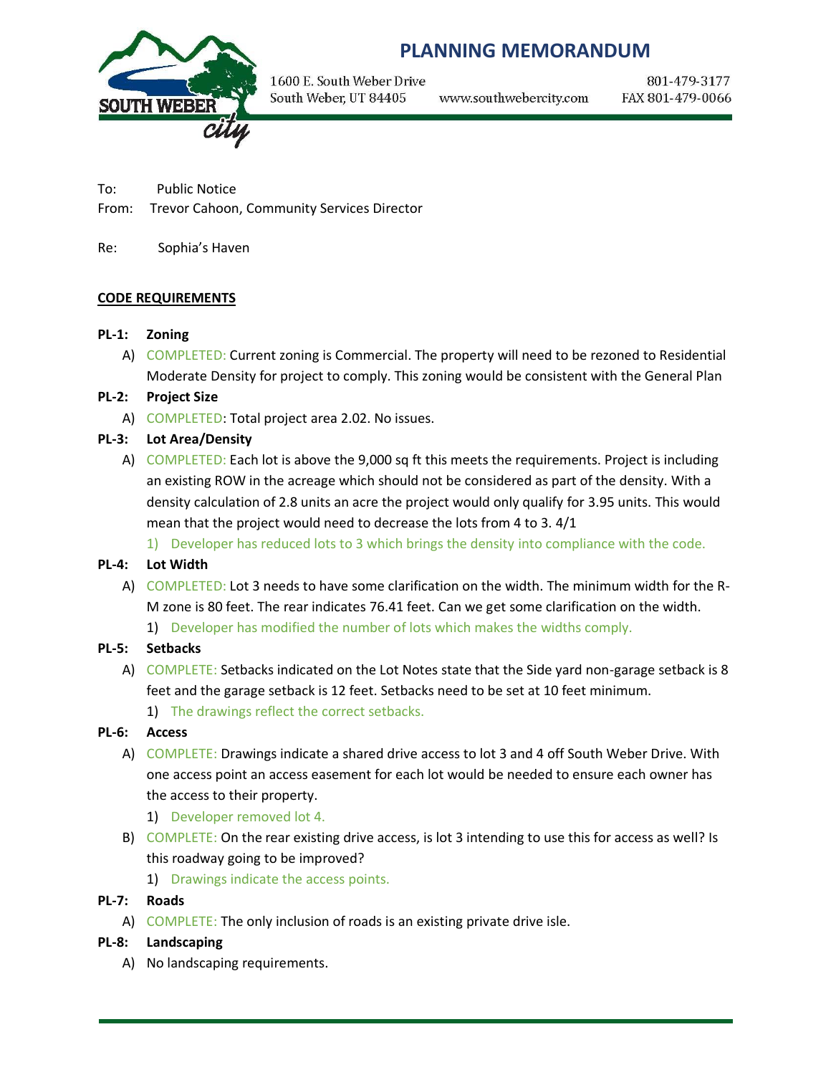

# **PLANNING MEMORANDUM**

1600 E. South Weber Drive South Weber, UT 84405

www.southwebercity.com

801-479-3177 FAX 801-479-0066

To: Public Notice

From: Trevor Cahoon, Community Services Director

Re: Sophia's Haven

# **CODE REQUIREMENTS**

### **PL-1: Zoning**

A) COMPLETED: Current zoning is Commercial. The property will need to be rezoned to Residential Moderate Density for project to comply. This zoning would be consistent with the General Plan

### **PL-2: Project Size**

A) COMPLETED: Total project area 2.02. No issues.

# **PL-3: Lot Area/Density**

A) COMPLETED: Each lot is above the 9,000 sq ft this meets the requirements. Project is including an existing ROW in the acreage which should not be considered as part of the density. With a density calculation of 2.8 units an acre the project would only qualify for 3.95 units. This would mean that the project would need to decrease the lots from 4 to 3. 4/1

1) Developer has reduced lots to 3 which brings the density into compliance with the code.

# **PL-4: Lot Width**

- A) COMPLETED: Lot 3 needs to have some clarification on the width. The minimum width for the R-M zone is 80 feet. The rear indicates 76.41 feet. Can we get some clarification on the width.
	- 1) Developer has modified the number of lots which makes the widths comply.

#### **PL-5: Setbacks**

- A) COMPLETE: Setbacks indicated on the Lot Notes state that the Side yard non-garage setback is 8 feet and the garage setback is 12 feet. Setbacks need to be set at 10 feet minimum.
	- 1) The drawings reflect the correct setbacks.

# **PL-6: Access**

- A) COMPLETE: Drawings indicate a shared drive access to lot 3 and 4 off South Weber Drive. With one access point an access easement for each lot would be needed to ensure each owner has the access to their property.
	- 1) Developer removed lot 4.
- B) COMPLETE: On the rear existing drive access, is lot 3 intending to use this for access as well? Is this roadway going to be improved?
	- 1) Drawings indicate the access points.

# **PL-7: Roads**

A) COMPLETE: The only inclusion of roads is an existing private drive isle.

#### **PL-8: Landscaping**

A) No landscaping requirements.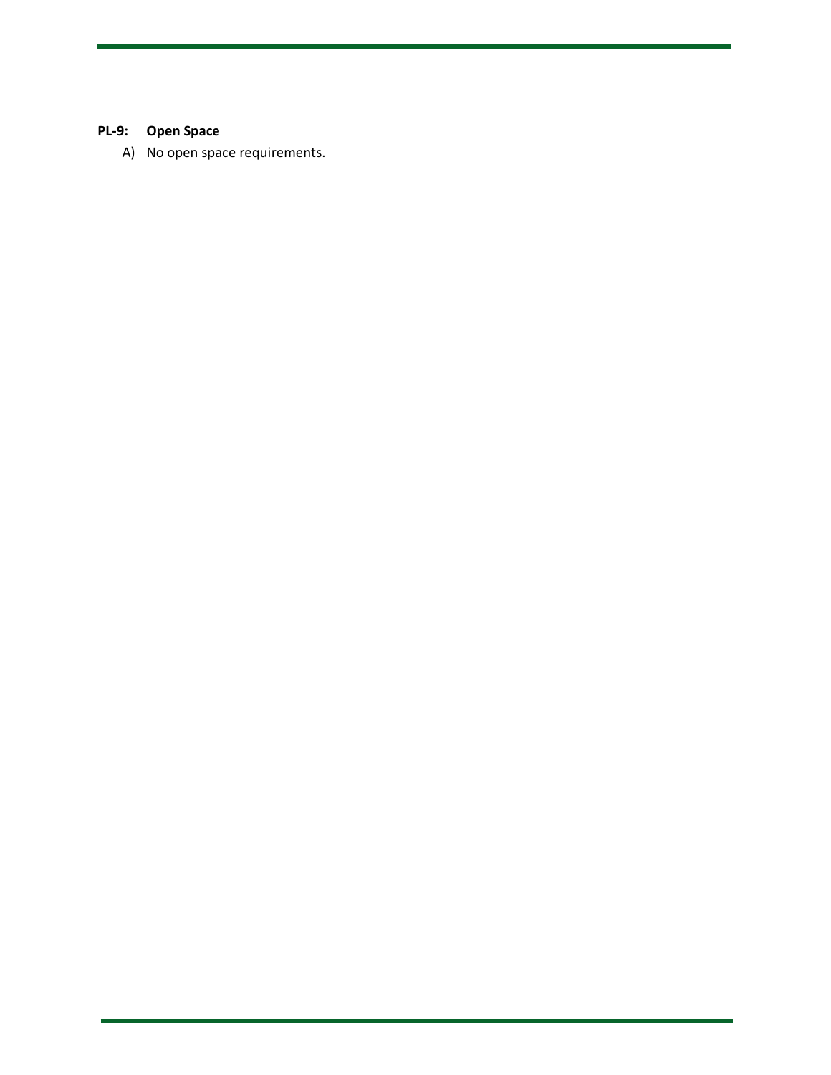# **PL-9: Open Space**

A) No open space requirements.